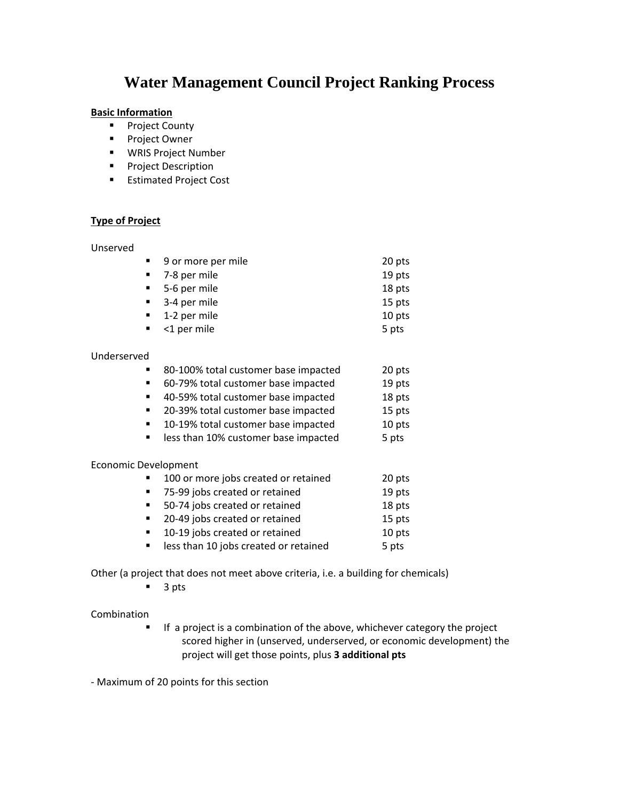# **Water Management Council Project Ranking Process**

## **Basic Information**

- **•** Project County
- **Project Owner**
- WRIS Project Number
- **Project Description**
- **Estimated Project Cost**

# **Type of Project**

## Unserved

|     | • 9 or more per mile        | 20 pts |
|-----|-----------------------------|--------|
|     | 7-8 per mile                | 19 pts |
|     | • 5-6 per mile              | 18 pts |
|     | $-3-4$ per mile             | 15 pts |
|     | $\blacksquare$ 1-2 per mile | 10 pts |
|     | <1 per mile                 | 5 pts  |
|     |                             |        |
| /ed |                             |        |
|     |                             |        |

# Underserv

| 80-100% total customer base impacted | 20 pts |
|--------------------------------------|--------|
|                                      |        |

- 60-79% total customer base impacted 19 pts
- 40-59% total customer base impacted 18 pts
- 20-39% total customer base impacted 15 pts
- 10-19% total customer base impacted 10 pts
- **Example 10% customer base impacted by the State 10% control 5 pts**

#### Economic Development

| $\mathbf{R}$ .              | 100 or more jobs created or retained  | 20 pts |
|-----------------------------|---------------------------------------|--------|
| $\blacksquare$              | 75-99 jobs created or retained        | 19 pts |
| $\mathbf{m}$ , $\mathbf{m}$ | 50-74 jobs created or retained        | 18 pts |
| $\blacksquare$              | 20-49 jobs created or retained        | 15 pts |
| $\blacksquare$              | 10-19 jobs created or retained        | 10 pts |
| $\blacksquare$              | less than 10 jobs created or retained | 5 pts  |

Other (a project that does not meet above criteria, i.e. a building for chemicals)

 $\blacksquare$  3 pts

Combination

**If a project is a combination of the above, whichever category the project** scored higher in (unserved, underserved, or economic development) the project will get those points, plus **3 additional pts**

‐ Maximum of 20 points for this section